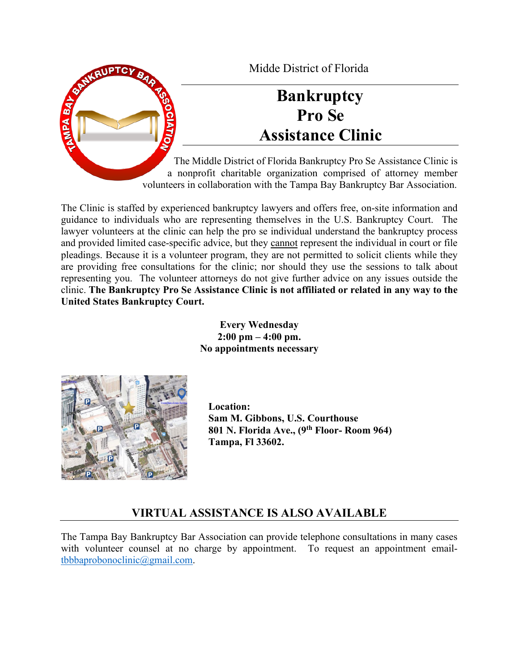

Midde District of Florida

# **Bankruptcy Pro Se Assistance Clinic**

The Middle District of Florida Bankruptcy Pro Se Assistance Clinic is a nonprofit charitable organization comprised of attorney member volunteers in collaboration with the Tampa Bay Bankruptcy Bar Association.

The Clinic is staffed by experienced bankruptcy lawyers and offers free, on-site information and guidance to individuals who are representing themselves in the U.S. Bankruptcy Court. The lawyer volunteers at the clinic can help the pro se individual understand the bankruptcy process and provided limited case-specific advice, but they cannot represent the individual in court or file pleadings. Because it is a volunteer program, they are not permitted to solicit clients while they are providing free consultations for the clinic; nor should they use the sessions to talk about representing you. The volunteer attorneys do not give further advice on any issues outside the clinic. **The Bankruptcy Pro Se Assistance Clinic is not affiliated or related in any way to the United States Bankruptcy Court.**

> **Every Wednesday 2:00 pm – 4:00 pm. No appointments necessary**



 **Location: Sam M. Gibbons, U.S. Courthouse 801 N. Florida Ave., (9th Floor- Room 964) Tampa, Fl 33602.** 

# **VIRTUAL ASSISTANCE IS ALSO AVAILABLE**

The Tampa Bay Bankruptcy Bar Association can provide telephone consultations in many cases with volunteer counsel at no charge by appointment. To request an appointment email[tbbbaprobonoclinic@gmail.com.](mailto:tbbbaprobonoclinic@gmail.com)